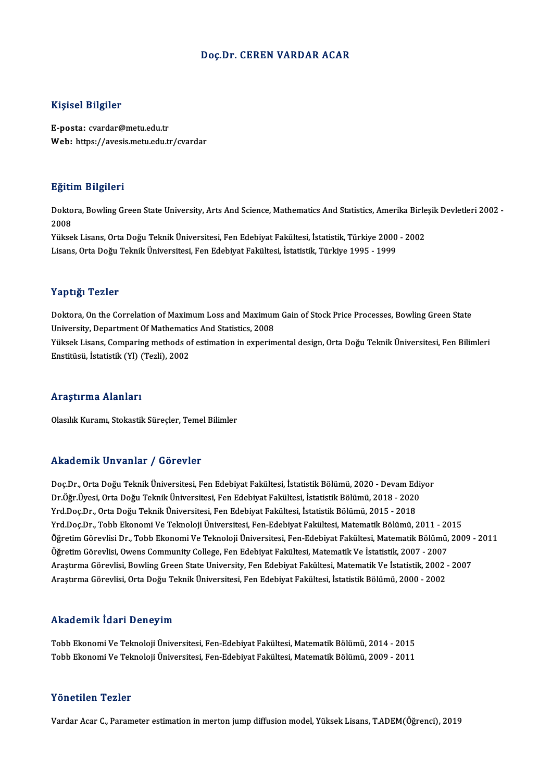#### Doç.Dr. CEREN VARDAR ACAR

#### Kişisel Bilgiler

E-posta: cvardar@metu.edu.tr Web: https://avesis.metu.edu.tr/cvardar

#### Eğitim Bilgileri

**Eğitim Bilgileri**<br>Doktora, Bowling Green State University, Arts And Science, Mathematics And Statistics, Amerika Birleşik Devletleri 2002 -<br>2008 ngref<br>Dokto<br>2008<br><sup>Välses</sup> Doktora, Bowling Green State University, Arts And Science, Mathematics And Statistics, Amerika Birle<br>2008<br>Yüksek Lisans, Orta Doğu Teknik Üniversitesi, Fen Edebiyat Fakültesi, İstatistik, Türkiye 2000 - 2002<br>Lisans, Orta D

2008<br>Yüksek Lisans, Orta Doğu Teknik Üniversitesi, Fen Edebiyat Fakültesi, İstatistik, Türkiye 2000<br>Lisans, Orta Doğu Teknik Üniversitesi, Fen Edebiyat Fakültesi, İstatistik, Türkiye 1995 - 1999 Lisans, Orta Doğu Teknik Üniversitesi, Fen Edebiyat Fakültesi, İstatistik, Türkiye 1995 - 1999<br>Yaptığı Tezler

Doktora, On the Correlation of Maximum Loss and Maximum Gain of Stock Price Processes, Bowling Green State Tup ugh Tener<br>Doktora, On the Correlation of Maximum Loss and Maximun<br>University, Department Of Mathematics And Statistics, 2008<br>Viktork Lisans, Comparing methods of estimation in evropim Yüksek Lisans, Comparing methods of estimation in experimental design, Orta Doğu Teknik Üniversitesi, Fen Bilimleri<br>Enstitüsü, İstatistik (Yl) (Tezli), 2002 University, Department Of Mathemati<br>Yüksek Lisans, Comparing methods o<br>Enstitüsü, İstatistik (Yl) (Tezli), 2002

#### Araştırma Alanları

Olasılık Kuramı, Stokastik Süreçler, Temel Bilimler

#### Akademik Unvanlar / Görevler

Doç.Dr., Orta Doğu Teknik Üniversitesi, Fen Edebiyat Fakültesi, İstatistik Bölümü, 2020 - Devam Ediyor rındu olirin "Oli vulitar" yı dörevler<br>Doç.Dr., Orta Doğu Teknik Üniversitesi, Fen Edebiyat Fakültesi, İstatistik Bölümü, 2020 - Devam Ediy<br>Dr.Öğr.Üyesi, Orta Doğu Teknik Üniversitesi, Fen Edebiyat Fakültesi, İstatistik Bö Doç.Dr., Orta Doğu Teknik Üniversitesi, Fen Edebiyat Fakültesi, İstatistik Bölümü, 2020 - Devam Ed<br>Dr.Öğr.Üyesi, Orta Doğu Teknik Üniversitesi, Fen Edebiyat Fakültesi, İstatistik Bölümü, 2018 - 2020<br>Yrd.Doç.Dr., Orta Doğu Yrd.Doç.Dr., Orta Doğu Teknik Üniversitesi, Fen Edebiyat Fakültesi, İstatistik Bölümü, 2015 - 2018<br>Yrd.Doc.Dr., Tobb Ekonomi Ve Teknoloji Üniversitesi, Fen-Edebiyat Fakültesi, Matematik Bölümü, 2011 - 2015 Öğretim Görevlisi Dr., Tobb Ekonomi Ve Teknoloji Üniversitesi, Fen-Edebiyat Fakültesi, Matematik Bölümü, 2009 - 2011 Yrd.Doç.Dr., Tobb Ekonomi Ve Teknoloji Üniversitesi, Fen-Edebiyat Fakültesi, Matematik Bölümü, 2011 - 20<br>Öğretim Görevlisi Dr., Tobb Ekonomi Ve Teknoloji Üniversitesi, Fen-Edebiyat Fakültesi, Matematik Bölümü,<br>Öğretim Göre Öğretim Görevlisi Dr., Tobb Ekonomi Ve Teknoloji Üniversitesi, Fen-Edebiyat Fakültesi, Matematik Bölümü, 2009<br>Öğretim Görevlisi, Owens Community College, Fen Edebiyat Fakültesi, Matematik Ve İstatistik, 2007 - 2007<br>Araştır Öğretim Görevlisi, Owens Community College, Fen Edebiyat Fakültesi, Matematik Ve İstatistik, 2007 - 2007<br>Araştırma Görevlisi, Bowling Green State University, Fen Edebiyat Fakültesi, Matematik Ve İstatistik, 2002 -<br>Araştırm Araştırma Görevlisi, Orta Doğu Teknik Üniversitesi, Fen Edebiyat Fakültesi, İstatistik Bölümü, 2000 - 2002<br>Akademik İdari Deneyim

Akademik İdari Deneyim<br>Tobb Ekonomi Ve Teknoloji Üniversitesi, Fen-Edebiyat Fakültesi, Matematik Bölümü, 2014 - 2015<br>Tebb Ekonomi Ve Teknoloji Üniversitesi, Fen-Edebiyat Fakültesi, Matematik Bölümü, 2009 - 2011 111111 CIIIII TULIT D'OITOJ'III<br>Tobb Ekonomi Ve Teknoloji Üniversitesi, Fen-Edebiyat Fakültesi, Matematik Bölümü, 2014 - 2015<br>Tobb Ekonomi Ve Teknoloji Üniversitesi, Fen-Edebiyat Fakültesi, Matematik Bölümü, 2009 - 2011 Tobb Ekonomi Ve Teknoloji Üniversitesi, Fen-Edebiyat Fakültesi, Matematik Bölümü, 2009 - 2011<br>Yönetilen Tezler

Vardar Acar C., Parameter estimation in merton jump diffusion model, Yüksek Lisans, T.ADEM(Öğrenci), 2019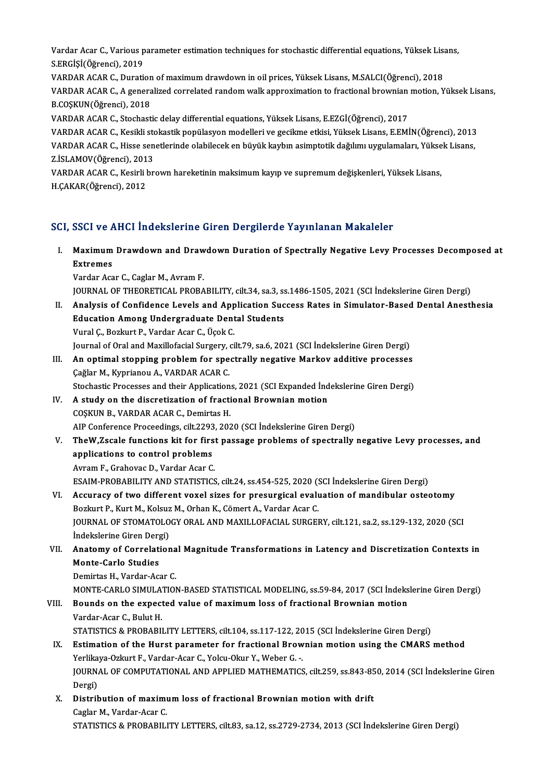Vardar Acar C., Various parameter estimation techniques for stochastic differential equations, Yüksek Lisans,<br>S.ERCİSİ(Öğmensi), 2019 Vardar Acar C., Various p<br>S.ERGİŞİ(Öğrenci), 2019<br>VARDAR ACAR C. Dursti Vardar Acar C., Various parameter estimation techniques for stochastic differential equations, Yüksek Lisan (<br>S.ERGİŞİ (Öğrenci), 2019<br>VARDAR ACAR C., Duration of maximum drawdown in oil prices, Yüksek Lisans, M.SALCI (Öğr

S.ERGİŞİ(Öğrenci), 2019<br>VARDAR ACAR C., Duration of maximum drawdown in oil prices, Yüksek Lisans, M.SALCI(Öğrenci), 2018<br>VARDAR ACAR C., A generalized correlated random walk approximation to fractional brownian motion, Yü VARDAR ACAR C., Duration<br>VARDAR ACAR C., A genera<br>B.COŞKUN(Öğrenci), 2018<br>VARDAR ACAR C. Stesbest VARDAR ACAR C., A generalized correlated random walk approximation to fractional brownian<br>B.COŞKUN(Öğrenci), 2018<br>VARDAR ACAR C., Stochastic delay differential equations, Yüksek Lisans, E.EZGİ(Öğrenci), 2017<br>VARDAR ACAR C.

B.COŞKUN(Öğrenci), 2018<br>VARDAR ACAR C., Stochastic delay differential equations, Yüksek Lisans, E.EZGİ(Öğrenci), 2017<br>VARDAR ACAR C., Kesikli stokastik popülasyon modelleri ve gecikme etkisi, Yüksek Lisans, E.EMİN(Öğrenci) VARDAR ACAR C., Stochastic delay differential equations, Yüksek Lisans, E.EZGİ(Öğrenci), 2017<br>VARDAR ACAR C., Kesikli stokastik popülasyon modelleri ve gecikme etkisi, Yüksek Lisans, E.EMİN(Öğrenci), 2013<br>VARDAR ACAR C., H VARDAR ACAR C., Kesikli sto<br>VARDAR ACAR C., Hisse sen<br>Z.İSLAMOV(Öğrenci), 2013<br>VARDAR ACAR C. Kesirli br VARDAR ACAR C., Hisse senetlerinde olabilecek en büyük kaybın asimptotik dağılımı uygulamaları, Yüksek Lisans,<br>Z.İSLAMOV(Öğrenci), 2013<br>VARDAR ACAR C., Kesirli brown hareketinin maksimum kayıp ve supremum değişkenleri, Yük

H.ÇAKAR(Öğrenci),2012

## SCI, SSCI ve AHCI İndekslerine Giren Dergilerde Yayınlanan Makaleler

CI, SSCI ve AHCI İndekslerine Giren Dergilerde Yayınlanan Makaleler<br>I. Maximum Drawdown and Drawdown Duration of Spectrally Negative Levy Processes Decomposed at<br>Extremes BBS1 VC1<br>Maximum<br>Extremes Extremes<br>Vardar Acar C., Caglar M., Avram F. Extremes<br>Vardar Acar C., Caglar M., Avram F.<br>JOURNAL OF THEORETICAL PROBABILITY, cilt.34, sa.3, ss.1486-1505, 2021 (SCI İndekslerine Giren Dergi)<br>Analysis of Confidence Levels and Analisation Sussess Bates in Simulator Bas

Vardar Acar C., Caglar M., Avram F.<br>JOURNAL OF THEORETICAL PROBABILITY, cilt.34, sa.3, ss.1486-1505, 2021 (SCI Indekslerine Giren Dergi)<br>II. Analysis of Confidence Levels and Application Success Rates in Simulator-Based De JOURNAL OF THEORETICAL PROBABILITY, cilt.34, sa.3, ss<br>Analysis of Confidence Levels and Application Suc<br>Education Among Undergraduate Dental Students<br>Vural C. Berlaut B. Vardar Acar G. Üsek G Analysis of Confidence Levels and App<br>Education Among Undergraduate Dent<br>Vural Ç., Bozkurt P., Vardar Acar C., Üçok C.<br>Journal of Oral and Mavillofacial Surgery, ci Education Among Undergraduate Dental Students<br>Vural Ç., Bozkurt P., Vardar Acar C., Üçok C.<br>Journal of Oral and Maxillofacial Surgery, cilt.79, sa.6, 2021 (SCI İndekslerine Giren Dergi)

Vural Ç., Bozkurt P., Vardar Acar C., Üçok C.<br>Journal of Oral and Maxillofacial Surgery, cilt.79, sa.6, 2021 (SCI İndekslerine Giren Dergi)<br>III. An optimal stopping problem for spectrally negative Markov additive processes Journal of Oral and Maxillofacial Surgery,<br>**An optimal stopping problem for spe**<br>Çağlar M., Kyprianou A., VARDAR ACAR C.<br>Stochastic Processes and their Annlisation An optimal stopping problem for spectrally negative Markov additive processes<br>Cağlar M., Kyprianou A., VARDAR ACAR C.<br>Stochastic Processes and their Applications, 2021 (SCI Expanded İndekslerine Giren Dergi)<br>A study on the

- Gağlar M., Kyprianou A., VARDAR ACAR C.<br>Stochastic Processes and their Applications, 2021 (SCI Expanded Ind<br>IV. A study on the discretization of fractional Brownian motion<br>COSVIIN B. VARDAR ACAR C. Domintes H Stochastic Processes and their Application<br>A study on the discretization of fractic COSKUN B., VARDAR ACAR C., Demirtas H.<br>AIB Conference Proceedings, silt 2202, 202 IV. A study on the discretization of fractional Brownian motion<br>COSKUN B., VARDAR ACAR C., Demirtas H.<br>AIP Conference Proceedings, cilt.2293, 2020 (SCI İndekslerine Giren Dergi)
- COSKUN B., VARDAR ACAR C., Demirtas H.<br>AIP Conference Proceedings, cilt.2293, 2020 (SCI İndekslerine Giren Dergi)<br>V. TheW,Zscale functions kit for first passage problems of spectrally negative Levy processes, and<br>annisatio AIP Conference Proceedings, cilt.2293<br>TheW,Zscale functions kit for firs<br>applications to control problems<br>Ayram E. Craboyas D. Vardan Assu G TheW,Zscale functions kit for firs<br>applications to control problems<br>Avram F., Grahovac D., Vardar Acar C.<br>ESAIM PROPAPU ITV AND STATISTICS applications to control problems<br>Avram F., Grahovac D., Vardar Acar C.<br>ESAIM-PROBABILITY AND STATISTICS, cilt.24, ss.454-525, 2020 (SCI İndekslerine Giren Dergi)

- VI. Accuracy of two different voxel sizes for presurgical evaluation of mandibular osteotomy ESAIM-PROBABILITY AND STATISTICS, cilt.24, ss.454-525, 2020 (!<br>Accuracy of two different voxel sizes for presurgical evaluation<br>Bozkurt P., Kurt M., Kolsuz M., Orhan K., Cömert A., Vardar Acar C.<br>JOUPMAL OF STOMATOLOCY ORA JOURNAL OF STOMATOLOGY ORAL AND MAXILLOFACIAL SURGERY, cilt.121, sa.2, ss.129-132, 2020 (SCI Indekslerine Giren Dergi) Bozkurt P., Kurt M., Kolsuz<br>JOURNAL OF STOMATOLO<br>İndekslerine Giren Dergi)<br>Anatomu of Correlation JOURNAL OF STOMATOLOGY ORAL AND MAXILLOFACIAL SURGERY, cilt.121, sa.2, ss.129-132, 2020 (SCI<br>Indekslerine Giren Dergi)<br>VII. Anatomy of Correlational Magnitude Transformations in Latency and Discretization Contexts in<br>Monte
- Indekslerine Giren Derg<br>Anatomy of Correlati<br>Monte-Carlo Studies<br>Domirtes H. Verder Ag Anatomy of Correlationa<br>Monte-Carlo Studies<br>Demirtas H., Vardar-Acar C.<br>MONTE CARLO SIMIH ATIOI Monte-Carlo Studies<br>Demirtas H., Vardar-Acar C.<br>MONTE-CARLO SIMULATION-BASED STATISTICAL MODELING, ss.59-84, 2017 (SCI İndekslerine Giren Dergi)<br>Bounds an the expected value of maximum less of frastianal Brownian mation

Demirtas H., Vardar-Acar C.<br>MONTE-CARLO SIMULATION-BASED STATISTICAL MODELING, ss.59-84, 2017 (SCI İndeks<br>VIII. Bounds on the expected value of maximum loss of fractional Brownian motion<br>Vardar-Acar C.. Bulut H. MONTE-CARLO SIMULA<br>**Bounds on the expect<br>Vardar-Acar C., Bulut H.<br>STATISTICS & BROPAPII** Bounds on the expected value of maximum loss of fractional Brownian motion<br>Vardar-Acar C., Bulut H.<br>STATISTICS & PROBABILITY LETTERS, cilt.104, ss.117-122, 2015 (SCI İndekslerine Giren Dergi)<br>Estimation of the Hunst pereme Vardar-Acar C., Bulut H.<br>STATISTICS & PROBABILITY LETTERS, cilt.104, ss.117-122, 2015 (SCI İndekslerine Giren Dergi)<br>IX. Estimation of the Hurst parameter for fractional Brownian motion using the CMARS method<br>Verlikave Orl

## STATISTICS & PROBABILITY LETTERS, cilt.104, ss.117-122, 20<br>Estimation of the Hurst parameter for fractional Brow<br>Yerlikaya-Ozkurt F., Vardar-Acar C., Yolcu-Okur Y., Weber G. -.<br>JOUPMAL OF COMBUTATIONAL AND APPLIED MATHEMAT Estimation of the Hurst parameter for fractional Brownian motion using the CMARS method<br>Yerlikaya-Ozkurt F., Vardar-Acar C., Yolcu-Okur Y., Weber G. -.<br>JOURNAL OF COMPUTATIONAL AND APPLIED MATHEMATICS, cilt.259, ss.843-850 Yerlikaya-Ozkurt F., Vardar-Acar C., Yolcu-Okur Y., Weber G. -.<br>JOURNAL OF COMPUTATIONAL AND APPLIED MATHEMATICS, cilt.259, ss.843-850, 2014 (SCI İndekslerine Giren<br>Dergi) JOURNAL OF COMPUTATIONAL AND APPLIED MATHEMATICS, cilt.259, ss.843-85<br>Dergi)<br>X. Distribution of maximum loss of fractional Brownian motion with drift<br>Caslor M. Vardan Asar C

Dergi)<br>Distribution of maximu<br>Caglar M., Vardar-Acar C.<br>STATISTICS & PROPAPILI Caglar M., Vardar-Acar C.<br>STATISTICS & PROBABILITY LETTERS, cilt.83, sa.12, ss.2729-2734, 2013 (SCI İndekslerine Giren Dergi)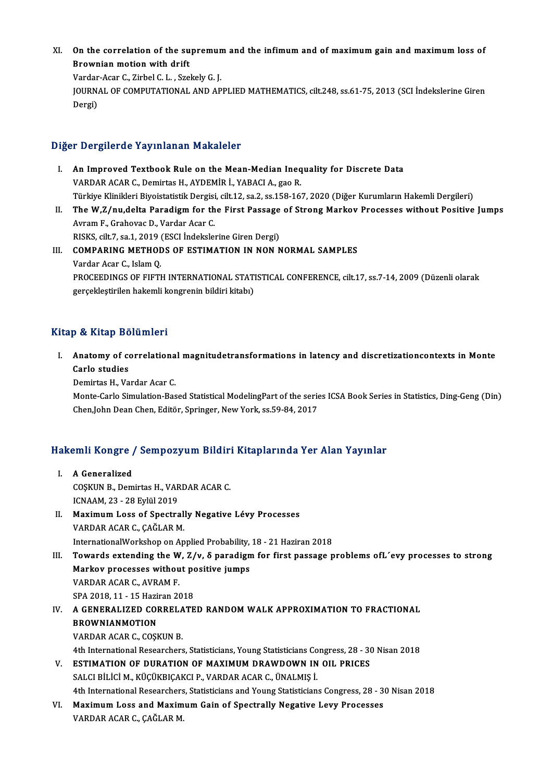XI. On the correlation of the supremum and the infimum and of maximum gain and maximum loss of On the correlation of the su<br>Brownian motion with drift<br>Varder Acer C. Zirbel C.L. STO On the correlation of the supremun<br>Brownian motion with drift<br>Vardar-Acar C., Zirbel C.L. , Szekely G. J.<br>JOUPNAL OF COMPUTATIONAL AND AP Brownian motion with drift<br>Vardar-Acar C., Zirbel C. L. , Szekely G. J.<br>JOURNAL OF COMPUTATIONAL AND APPLIED MATHEMATICS, cilt.248, ss.61-75, 2013 (SCI İndekslerine Giren<br>Dergi) Vardar-Acar C., Zirbel C. L., Szekely G. J.

## Diğer Dergilerde Yayınlanan Makaleler

- Iger Dergilerde Yayınlanan Makaleler<br>I. An Improved Textbook Rule on the Mean-Median Inequality for Discrete Data<br>WARDAR AGAR G Demirtas H AYDEMIR I MARAGLA SPR VARDAR ACAR C., Demirtas H., AYDEMİR İ., YABACI A., gao R.<br>VARDAR ACAR C., Demirtas H., AYDEMİR İ., YABACI A., gao R.<br>Türkiye Klinikleri Biyeistetistik Dergisi, sik 12, se 2, se 159, 16 An Improved Textbook Rule on the Mean-Median Inequality for Discrete Data<br>VARDAR ACAR C., Demirtas H., AYDEMİR İ., YABACI A., gao R.<br>Türkiye Klinikleri Biyoistatistik Dergisi, cilt.12, sa.2, ss.158-167, 2020 (Diğer Kurumla VARDAR ACAR C., Demirtas H., AYDEMİR İ., YABACI A., gao R.<br>Türkiye Klinikleri Biyoistatistik Dergisi, cilt.12, sa.2, ss.158-167, 2020 (Diğer Kurumların Hakemli Dergileri)<br>II. The W,Z/nu,delta Paradigm for the First Passage
- Türkiye Klinikleri Biyoistatistik Dergisi<br>The W,Z/nu,delta Paradigm for th<br>Avram F., Grahovac D., Vardar Acar C.<br>BISKS. silt 7, 89.1, 2010 (ESCI indeksler The W,Z/nu,delta Paradigm for the First Passage<br>Avram F., Grahovac D., Vardar Acar C.<br>RISKS, cilt.7, sa.1, 2019 (ESCI İndekslerine Giren Dergi)<br>COMBARING METHODS OF ESTIMATION IN NON N Avram F., Grahovac D., Vardar Acar C.<br>RISKS, cilt.7, sa.1, 2019 (ESCI Indekslerine Giren Dergi)<br>III. COMPARING METHODS OF ESTIMATION IN NON NORMAL SAMPLES<br>Vardar Acar C., Islam Q. RISKS, cilt.7, sa.1, 2019 (ESCI Indekslerine Giren Dergi)
- COMPARING METHODS OF ESTIMATION IN NON NORMAL SAMPLES<br>Vardar Acar C., Islam Q.<br>PROCEEDINGS OF FIFTH INTERNATIONAL STATISTICAL CONFERENCE, cilt.17, ss.7-14, 2009 (Düzenli olarak<br>gereeltlestirilen bekemli kongrenin bildiri l Vardar Acar C., Islam Q.<br>PROCEEDINGS OF FIFTH INTERNATIONAL STATI<br>gerçekleştirilen hakemli kongrenin bildiri kitabı) gerçekleştirilen hakemli kongrenin bildiri kitabı)<br>Kitap & Kitap Bölümleri

Itap & Kitap Bölümleri<br>I. Anatomy of correlational magnitudetransformations in latency and discretizationcontexts in Monte<br>Carle studies p & kkeep Be<br>Anatomy of co<br>Carlo studies<br>Domirtes H Vo Anatomy of correlationa<br>Carlo studies<br>Demirtas H., Vardar Acar C.<br>Monto Carlo Simulation Bac

Carlo studies<br>Demirtas H., Vardar Acar C.<br>Monte-Carlo Simulation-Based Statistical ModelingPart of the series ICSA Book Series in Statistics, Ding-Geng (Din)<br>Chan John Dean Chan, Editër, Springer, New York, ce 50,94,2017 Demirtas H., Vardar Acar C.<br>Monte-Carlo Simulation-Based Statistical ModelingPart of the serie<br>Chen,John Dean Chen, Editör, Springer, New York, ss.59-84, 2017

# then,John Dean Chen, Editor, Springer, New York, SS.59-84, 2017<br>Hakemli Kongre / Sempozyum Bildiri Kitaplarında Yer Alan Yayınlar

- akemli Kongre<br>I. A Generalized<br>COSKUN B. Dom I. A Generalized<br>COSKUN B., Demirtas H., VARDAR ACAR C. ICNAAM,23 -28Eylül2019 COȘKUN B., Demirtas H., VARDAR ACAR C.<br>ICNAAM, 23 - 28 Eylül 2019<br>II. Maximum Loss of Spectrally Negative Lévy Processes<br>VAPDAR ACAR C. CAČLAR M
- ICNAAM, 23 28 Eylül 2019<br>Maximum Loss of Spectral<br>VARDAR ACAR C., ÇAĞLAR M.<br>InternationalWerksbop on An Maximum Loss of Spectrally Negative Lévy Processes<br>VARDAR ACAR C., ÇAĞLAR M.<br>InternationalWorkshop on Applied Probability, 18 - 21 Haziran 2018<br>Towards extending the W. Z/u. S peredigm for first pessone.
- VARDAR ACAR C., ÇAĞLAR M.<br>InternationalWorkshop on Applied Probability, 18 21 Haziran 2018<br>III. Towards extending the W, Ζ/ν, δ paradigm for first passage problems ofL´evy processes to strong<br>Markov processes withou InternationalWorkshop on Applied Probability,<br>Towards extending the W, Z/v, δ paradign<br>Markov processes without positive jumps<br>VAPDAR ACAR C, AVRAM F Towards extending the W<br>Markov processes withou<br>VARDAR ACAR C., AVRAM F.<br>SPA 2019 11, 15 Herinan 20 Markov processes without positive jumps<br>VARDAR ACAR C., AVRAM F.<br>SPA 2018, 11 - 15 Haziran 2018
- IV. A GENERALIZED CORRELATED RANDOMWALK APPROXIMATION TO FRACTIONAL BROWNIANMOTION VARDAR ACAR C., COŞKUN B. BROWNIANMOTION<br>VARDAR ACAR C., COȘKUN B.<br>4th International Researchers, Statisticians, Young Statisticians Congress, 28 - 30 Nisan 2018<br>ESTIMATION OF DURATION OF MAXIMUM DRAWDOWN IN OU, PRICES
- V. ESTIMATION OF DURATION OF MAXIMUM DRAWDOWN IN OIL PRICES<br>SALCI BILICI M. KÜCÜKBICAKCI P. VARDAR ACAR C. ÜNALMIS İ. 4th International Researchers, Statisticians, Young Statisticians Contribution Contribution of DURATION OF MAXIMUM DRAWDOWN IN SALCI BILICI M., KÜÇÜKBIÇAKCI P., VARDAR ACAR C., ÜNALMIŞ İ. 4th International Researchers, Statisticians and Young Statisticians Congress, 28 - 30 Nisan 2018 SALCI BILICI M., KÜÇÜKBIÇAKCI P., VARDAR ACAR C., ÜNALMIŞ İ.<br>4th International Researchers, Statisticians and Young Statisticians Congress, 28 - 3<br>7. Maximum Loss and Maximum Gain of Spectrally Negative Levy Processes<br>7. V
- 4th International Researchers<br>Maximum Loss and Maxim<br>VARDAR ACAR C., ÇAĞLAR M.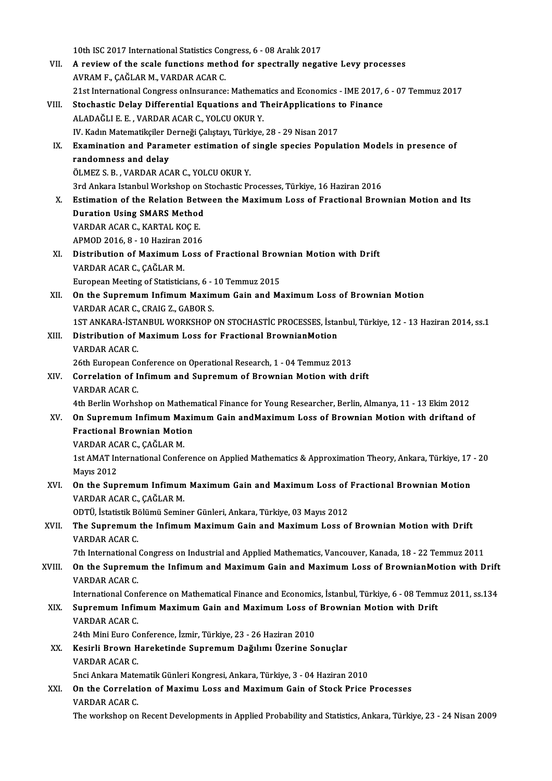10th ISC 2017 International Statistics Congress, 6 - 08 Aralık 2017<br>A noview of the asele functions method for anostrally negat

- VII. A review of the scale functions method for spectrally negative Levy processes<br>AVRAM F., CAĞLAR M., VARDAR ACAR C. 10th ISC 2017 International Statistics Cor<br>A review of the scale functions meth<br>AVRAM F., ÇAĞLAR M., VARDAR ACAR C. A review of the scale functions method for spectrally negative Levy processes<br>AVRAM F., ÇAĞLAR M., VARDAR ACAR C.<br>21st International Congress onInsurance: Mathematics and Economics - IME 2017, 6 - 07 Temmuz 2017<br>Stechestic AVRAM F., ÇAĞLAR M., VARDAR ACAR C.<br>21st International Congress onInsurance: Mathematics and Economics - IME 2017,<br>VIII. Stochastic Delay Differential Equations and TheirApplications to Finance<br>ALADAČLLE E. VARDAR ACAR C.
- 21st International Congress onInsurance: Mathema<br>Stochastic Delay Differential Equations and T<br>ALADAĞLI E. E. , VARDAR ACAR C., YOLCU OKUR Y.<br>W. Kodup Matematiksiler Derneği Cakstavı, Türkiye. Stochastic Delay Differential Equations and TheirApplications t<br>ALADAĞLI E. E. , VARDAR ACAR C., YOLCU OKUR Y.<br>IV. Kadın Matematikçiler Derneği Çalıştayı, Türkiye, 28 - 29 Nisan 2017<br>Examination and Baramator ostimation of ALADAĞLI E. E. , VARDAR ACAR C., YOLCU OKUR Y.<br>IV. Kadın Matematikçiler Derneği Çalıştayı, Türkiye, 28 - 29 Nisan 2017<br>IX. Examination and Parameter estimation of single species Population Models in presence of<br>randomnass
- IV. Kadın Matematikçiler Derneği Çalıştayı, Türkiye, 28 29 Nisan 2017<br>Examination and Parameter estimation of single species Popul<br>randomness and delay<br>ÖLMEZ S. B., VARDAR ACAR C., YOLCU OKUR Y. Examination and Parameter estimation of<br>randomness and delay<br>ÖLMEZ S.B., VARDAR ACAR C., YOLCU OKUR Y.<br>2rd Ankara Istanbul Warkshap on Stachastic Pr randomness and delay<br>ÖLMEZ S. B. , VARDAR ACAR C., YOLCU OKUR Y.<br>3rd Ankara Istanbul Workshop on Stochastic Processes, Türkiye, 16 Haziran 2016<br>Estimation of the Belation Between the Maximum Less of Enestional Broy
- X. Estimation of the Relation Between the Maximum Loss of Fractional Brownian Motion and Its<br>Duration Using SMARS Method 3rd Ankara Istanbul Workshop on S<br>Estimation of the Relation Betw<br>Duration Using SMARS Method<br>VAPDAR AGAR G KARTAL KOGE Estimation of the Relation Bet<br>Duration Using SMARS Method<br>VARDAR ACAR C., KARTAL KOÇ E.<br>APMOD 2016 9 - 10 Hariran 2016 Duration Using SMARS Method<br>VARDAR ACAR C., KARTAL KOÇ E.<br>APMOD 2016, 8 - 10 Haziran 2016<br>Distribution of Morimum Loce APMOD 2016, 8 - 10 Haziran 2016
- XI. Distribution of Maximum Loss of Fractional Brownian Motion with Drift VARDAR ACAR C., CAGLAR M. European Meeting of Statisticians, 6 - 10 Temmuz 2015
- XII. On the Supremum Infimum Maximum Gain and Maximum Loss of Brownian Motion VARDAR ACAR C., CRAIG Z., GABOR S. On the Supremum Infimum Maximum Gain and Maximum Loss of Brownian Motion<br>VARDAR ACAR C., CRAIG Z., GABOR S.<br>1ST ANKARA-İSTANBUL WORKSHOP ON STOCHASTİC PROCESSES, İstanbul, Türkiye, 12 - 13 Haziran 2014, ss.1<br>Distribution o VARDAR ACAR C., CRAIG Z., GABOR S.<br>1ST ANKARA-İSTANBUL WORKSHOP ON STOCHASTİC PROCESSES, İsta<br>XIII. Distribution of Maximum Loss for Fractional BrownianMotion<br>VARDAR ACAR C
- 1ST ANKARA-IST<br>Distribution of<br>VARDAR ACAR C.<br>26th European Ce Distribution of Maximum Loss for Fractional BrownianMotion<br>VARDAR ACAR C.<br>26th European Conference on Operational Research, 1 - 04 Temmuz 2013<br>Correlation of Infimum and Sunromum of Prownian Motion with d

VARDAR ACAR C.<br>26th European Conference on Operational Research, 1 - 04 Temmuz 2013<br>XIV. Correlation of Infimum and Supremum of Brownian Motion with drift<br>VARDAR ACAR C. 26th European Control<br>**Correlation of I**<br>VARDAR ACAR C.<br>Ath Perlin Worbel Correlation of Infimum and Supremum of Brownian Motion with drift<br>VARDAR ACAR C.<br>4th Berlin Worhshop on Mathematical Finance for Young Researcher, Berlin, Almanya, 11 - 13 Ekim 2012<br>On Supremum Infimum Maximum Cain and Max

VARDAR ACAR C.<br>4th Berlin Worhshop on Mathematical Finance for Young Researcher, Berlin, Almanya, 11 - 13 Ekim 2012<br>XV. On Supremum Infimum Maximum Gain andMaximum Loss of Brownian Motion with driftand of 4th Berlin Worhshop on Mathem<br>On Supremum Infimum Maxi<br>Fractional Brownian Motion<br>WAPDAR ACAR G GAČLAR M On Supremum Infimum Ma<br>Fractional Brownian Motio<br>VARDAR ACAR C., ÇAĞLAR M.<br>1st AMAT International Cenfe

Fractional Brownian Motion<br>VARDAR ACAR C., ÇAĞLAR M.<br>1st AMAT International Conference on Applied Mathematics & Approximation Theory, Ankara, Türkiye, 17 - 20<br>Mayre 2012 VARDAR AC<br>1st AMAT In<br>Mayıs 2012<br>On the Sun 1st AMAT International Conference on Applied Mathematics & Approximation Theory, Ankara, Türkiye, 17<br>Mayıs 2012<br>XVI. On the Supremum Infimum Maximum Gain and Maximum Loss of Fractional Brownian Motion

# Mayıs 2012<br>**On the Supremum Infimum**<br>VARDAR ACAR C., ÇAĞLAR M.<br>ODTÜ İstatistik Bölümü Somin On the Supremum Infimum Maximum Gain and Maximum Loss of<br>VARDAR ACAR C., ÇAĞLAR M.<br>ODTÜ, İstatistik Bölümü Seminer Günleri, Ankara, Türkiye, 03 Mayıs 2012<br>The Sunnamum the Infimum Mayimum Gain and Mayimum Loss ai

# VARDAR ACAR C., ÇAĞLAR M.<br>ODTÜ, İstatistik Bölümü Seminer Günleri, Ankara, Türkiye, 03 Mayıs 2012<br>XVII. The Supremum the Infimum Maximum Gain and Maximum Loss of Brownian Motion with Drift<br>VARDAR ACAR C. ODTÜ, İstatistik Bo<br>The Supremum<br>VARDAR ACAR C.<br>7th International The Supremum the Infimum Maximum Gain and Maximum Loss of Brownian Motion with Drift<br>VARDAR ACAR C.<br>7th International Congress on Industrial and Applied Mathematics, Vancouver, Kanada, 18 - 22 Temmuz 2011<br>On the Supremum t

VARDAR ACAR C.<br>7th International Congress on Industrial and Applied Mathematics, Vancouver, Kanada, 18 - 22 Temmuz 2011<br>8VIII. On the Supremum the Infimum and Maximum Gain and Maximum Loss of BrownianMotion with Drift<br> 7th International<br>**On the Supremu**<br>VARDAR ACAR C.<br>International Con On the Supremum the Infimum and Maximum Gain and Maximum Loss of BrownianMotion with Drift<br>VARDAR ACAR C.<br>International Conference on Mathematical Finance and Economics, İstanbul, Türkiye, 6 - 08 Temmuz 2011, ss.134

# VARDAR ACAR C.<br>International Conference on Mathematical Finance and Economics, İstanbul, Türkiye, 6 - 08 Temm<br>XIX. Supremum Infimum Maximum Gain and Maximum Loss of Brownian Motion with Drift<br>VARDAR ACAR C International Con<br>Supremum Infin<br>VARDAR ACAR C.<br>24th Mini Euro Co Supremum Infimum Maximum Gain and Maximum Loss of<br>VARDAR ACAR C.<br>24th Mini Euro Conference, İzmir, Türkiye, 23 - 26 Haziran 2010<br>Kosirli Proum Harekstinde Sunnamum Dağılımı Üzerine Sa

24th Mini Euro Conference, İzmir, Türkiye, 23 - 26 Haziran 2010

VARDAR ACAR C.<br>24th Mini Euro Conference, İzmir, Türkiye, 23 - 26 Haziran 2010<br>XX. Kesirli Brown Hareketinde Supremum Dağılımı Üzerine Sonuçlar<br>VARDAR ACAR C. Kesirli Brown Hareketinde Supremum Dağılımı Üzerine Sonuçlar<br>VARDAR ACAR C.<br>5nci Ankara Matematik Günleri Kongresi, Ankara, Türkiye, 3 - 04 Haziran 2010<br>On the Conrelation of Maximu Lees and Maximum Cain of Steek Prise.

XXI. On the Correlation of Maximu Loss and Maximum Gain of Stock Price Processes<br>VARDAR ACAR C. **Snci Ankara Mate:<br>On the Correlat:<br>VARDAR ACAR C.<br>The workphan on** 

The workshop on Recent Developments in Applied Probability and Statistics, Ankara, Türkiye, 23 - 24 Nisan 2009